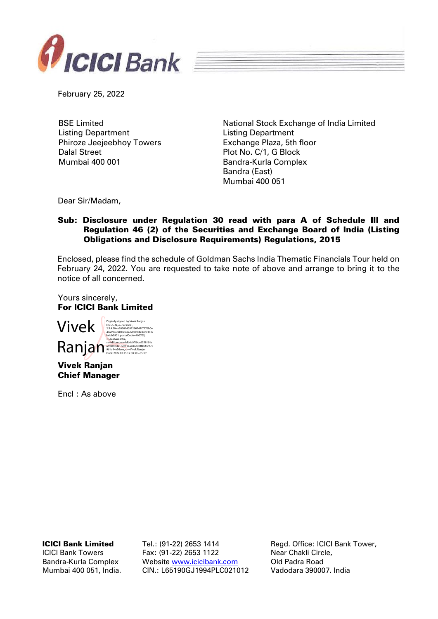

February 25, 2022

BSE Limited Listing Department Phiroze Jeejeebhoy Towers Dalal Street Mumbai 400 001

National Stock Exchange of India Limited Listing Department Exchange Plaza, 5th floor Plot No. C/1, G Block Bandra-Kurla Complex Bandra (East) Mumbai 400 051

Dear Sir/Madam,

## Sub: Disclosure under Regulation 30 read with para A of Schedule III and Regulation 46 (2) of the Securities and Exchange Board of India (Listing Obligations and Disclosure Requirements) Regulations, 2015

Enclosed, please find the schedule of Goldman Sachs India Thematic Financials Tour held on February 24, 2022. You are requested to take note of above and arrange to bring it to the notice of all concerned.

Yours sincerely, For ICICI Bank Limited



Vivek Ranjan Chief Manager

Encl : As above

ICICI Bank Limited

ICICI Bank Towers Bandra-Kurla Complex Mumbai 400 051, India. Tel.: (91-22) 2653 1414 Fax: (91-22) 2653 1122 Website [www.icicibank.com](http://www.icicibank.com/) CIN.: L65190GJ1994PLC021012

Regd. Office: ICICI Bank Tower, Near Chakli Circle, Old Padra Road Vadodara 390007. India